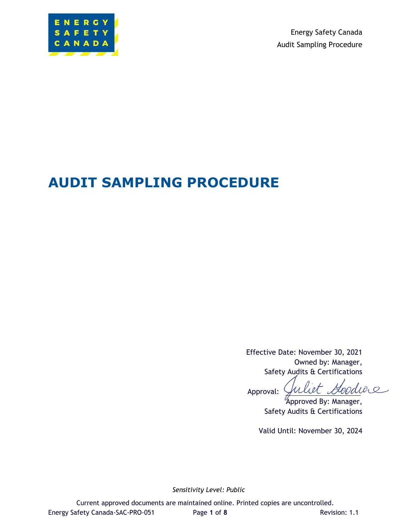

Energy Safety Canada Audit Sampling Procedure

# **AUDIT SAMPLING PROCEDURE**

Effective Date: November 30, 2021 Owned by: Manager, Safety Audits & Certifications

iet Goodwe Approval:

Approved By: Manager, Safety Audits & Certifications

Valid Until: November 30, 2024

*Sensitivity Level: Public*

Current approved documents are maintained online. Printed copies are uncontrolled. Energy Safety Canada-SAC-PRO-051 Page **1** of **8** Revision: 1.1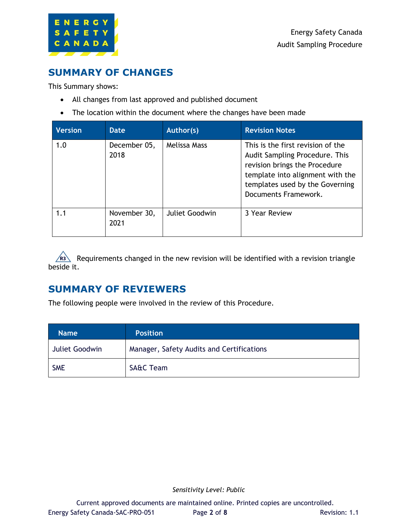

#### <span id="page-1-0"></span>**SUMMARY OF CHANGES**

This Summary shows:

- All changes from last approved and published document
- The location within the document where the changes have been made

| <b>Version</b> | Date                 | Author(s)      | <b>Revision Notes</b>                                                                                                                                                                               |
|----------------|----------------------|----------------|-----------------------------------------------------------------------------------------------------------------------------------------------------------------------------------------------------|
| 1.0            | December 05,<br>2018 | Melissa Mass   | This is the first revision of the<br>Audit Sampling Procedure. This<br>revision brings the Procedure<br>template into alignment with the<br>templates used by the Governing<br>Documents Framework. |
| 1.1            | November 30,<br>2021 | Juliet Goodwin | 3 Year Review                                                                                                                                                                                       |

Requirements changed in the new revision will be identified with a revision triangle beside it.

#### <span id="page-1-1"></span>**SUMMARY OF REVIEWERS**

The following people were involved in the review of this Procedure.

| <b>Name</b>    | <b>Position</b>                           |
|----------------|-------------------------------------------|
| Juliet Goodwin | Manager, Safety Audits and Certifications |
| <b>SME</b>     | <b>SA&amp;C Team</b>                      |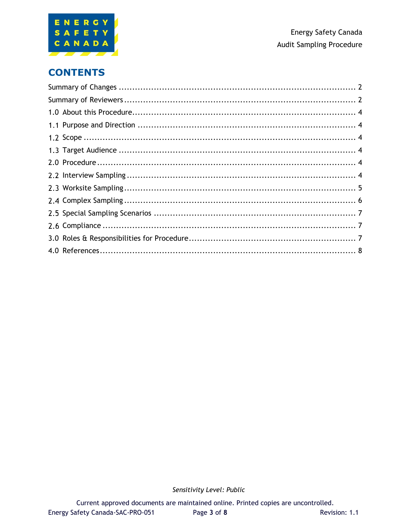

### **CONTENTS**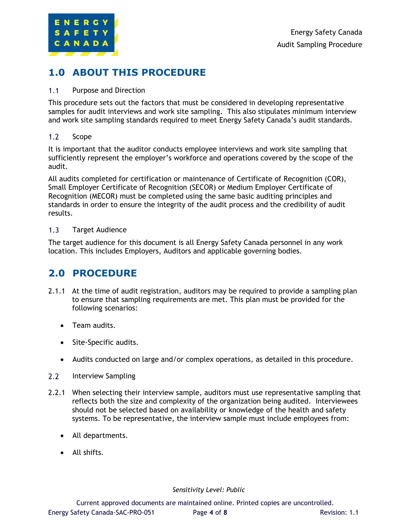

### <span id="page-3-0"></span>**1.0 ABOUT THIS PROCEDURE**

<span id="page-3-1"></span> $1.1$ Purpose and Direction

This procedure sets out the factors that must be considered in developing representative samples for audit interviews and work site sampling. This also stipulates minimum interview and work site sampling standards required to meet Energy Safety Canada's audit standards.

<span id="page-3-2"></span> $1.2$ Scope

It is important that the auditor conducts employee interviews and work site sampling that sufficiently represent the employer's workforce and operations covered by the scope of the audit.

All audits completed for certification or maintenance of Certificate of Recognition (COR), Small Employer Certificate of Recognition (SECOR) or Medium Employer Certificate of Recognition (MECOR) must be completed using the same basic auditing principles and standards in order to ensure the integrity of the audit process and the credibility of audit results.

<span id="page-3-3"></span> $1.3$ Target Audience

The target audience for this document is all Energy Safety Canada personnel in any work location. This includes Employers, Auditors and applicable governing bodies.

### <span id="page-3-4"></span>**2.0 PROCEDURE**

- 2.1.1 At the time of audit registration, auditors may be required to provide a sampling plan to ensure that sampling requirements are met. This plan must be provided for the following scenarios:
	- Team audits.
	- Site-Specific audits.
	- Audits conducted on large and/or complex operations, as detailed in this procedure.
- <span id="page-3-5"></span> $2.2<sub>2</sub>$ Interview Sampling
- 2.2.1 When selecting their interview sample, auditors must use representative sampling that reflects both the size and complexity of the organization being audited. Interviewees should not be selected based on availability or knowledge of the health and safety systems. To be representative, the interview sample must include employees from:
	- All departments.
	- All shifts.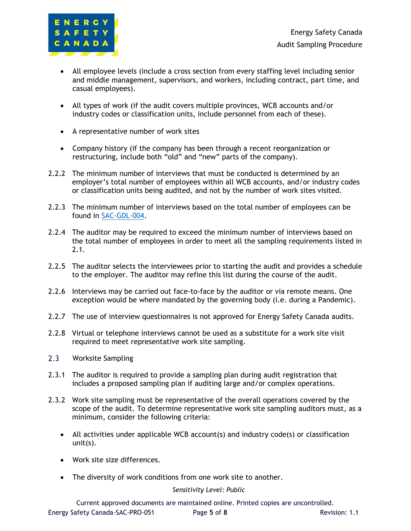

- All employee levels (include a cross section from every staffing level including senior and middle management, supervisors, and workers, including contract, part time, and casual employees).
- All types of work (if the audit covers multiple provinces, WCB accounts and/or industry codes or classification units, include personnel from each of these).
- A representative number of work sites
- Company history (if the company has been through a recent reorganization or restructuring, include both "old" and "new" parts of the company).
- 2.2.2 The minimum number of interviews that must be conducted is determined by an employer's total number of employees within all WCB accounts, and/or industry codes or classification units being audited, and not by the number of work sites visited.
- 2.2.3 The minimum number of interviews based on the total number of employees can be found in [SAC-GDL-004.](https://www.energysafetycanada.com/EnergySafetyCanada/media/ESC/COR/Audit_Worksite_and_Interview_Sampling.pdf)
- 2.2.4 The auditor may be required to exceed the minimum number of interviews based on the total number of employees in order to meet all the sampling requirements listed in 2.1.
- 2.2.5 The auditor selects the interviewees prior to starting the audit and provides a schedule to the employer. The auditor may refine this list during the course of the audit.
- 2.2.6 Interviews may be carried out face-to-face by the auditor or via remote means. One exception would be where mandated by the governing body (i.e. during a Pandemic).
- 2.2.7 The use of interview questionnaires is not approved for Energy Safety Canada audits.
- 2.2.8 Virtual or telephone interviews cannot be used as a substitute for a work site visit required to meet representative work site sampling.
- <span id="page-4-0"></span> $2.3$ Worksite Sampling
- 2.3.1 The auditor is required to provide a sampling plan during audit registration that includes a proposed sampling plan if auditing large and/or complex operations.
- 2.3.2 Work site sampling must be representative of the overall operations covered by the scope of the audit. To determine representative work site sampling auditors must, as a minimum, consider the following criteria:
	- All activities under applicable WCB account(s) and industry code(s) or classification unit(s).
	- Work site size differences.
	- The diversity of work conditions from one work site to another.

#### *Sensitivity Level: Public*

Current approved documents are maintained online. Printed copies are uncontrolled. Energy Safety Canada-SAC-PRO-051 Page **5** of **8** Revision: 1.1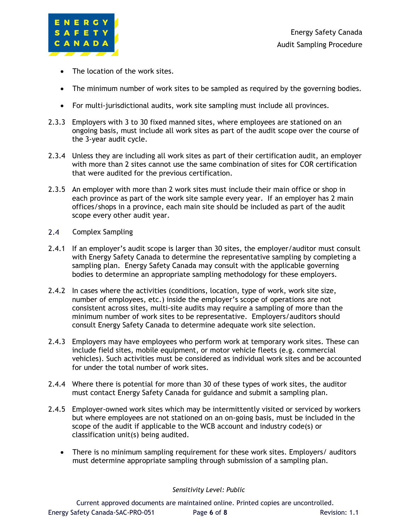

- The location of the work sites.
- The minimum number of work sites to be sampled as required by the governing bodies.
- For multi-jurisdictional audits, work site sampling must include all provinces.
- 2.3.3 Employers with 3 to 30 fixed manned sites, where employees are stationed on an ongoing basis, must include all work sites as part of the audit scope over the course of the 3-year audit cycle.
- 2.3.4 Unless they are including all work sites as part of their certification audit, an employer with more than 2 sites cannot use the same combination of sites for COR certification that were audited for the previous certification.
- 2.3.5 An employer with more than 2 work sites must include their main office or shop in each province as part of the work site sample every year. If an employer has 2 main offices/shops in a province, each main site should be included as part of the audit scope every other audit year.
- <span id="page-5-0"></span> $2.4$ Complex Sampling
- 2.4.1 If an employer's audit scope is larger than 30 sites, the employer/auditor must consult with Energy Safety Canada to determine the representative sampling by completing a sampling plan. Energy Safety Canada may consult with the applicable governing bodies to determine an appropriate sampling methodology for these employers.
- 2.4.2 In cases where the activities (conditions, location, type of work, work site size, number of employees, etc.) inside the employer's scope of operations are not consistent across sites, multi-site audits may require a sampling of more than the minimum number of work sites to be representative. Employers/auditors should consult Energy Safety Canada to determine adequate work site selection.
- 2.4.3 Employers may have employees who perform work at temporary work sites. These can include field sites, mobile equipment, or motor vehicle fleets (e.g. commercial vehicles). Such activities must be considered as individual work sites and be accounted for under the total number of work sites.
- 2.4.4 Where there is potential for more than 30 of these types of work sites, the auditor must contact Energy Safety Canada for guidance and submit a sampling plan.
- 2.4.5 Employer-owned work sites which may be intermittently visited or serviced by workers but where employees are not stationed on an on-going basis, must be included in the scope of the audit if applicable to the WCB account and industry code(s) or classification unit(s) being audited.
	- There is no minimum sampling requirement for these work sites. Employers/ auditors must determine appropriate sampling through submission of a sampling plan.

*Sensitivity Level: Public*

Current approved documents are maintained online. Printed copies are uncontrolled. Energy Safety Canada-SAC-PRO-051 Page **6** of **8** Revision: 1.1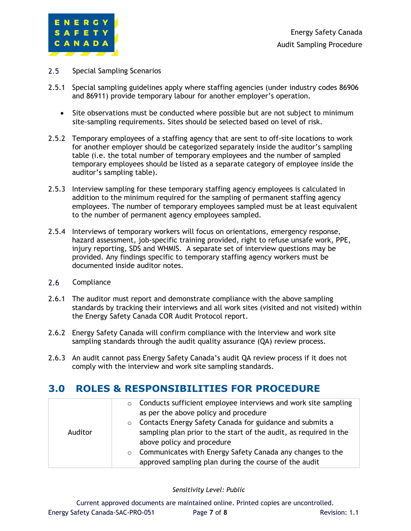

- <span id="page-6-0"></span> $2.5$ Special Sampling Scenarios
- 2.5.1 Special sampling guidelines apply where staffing agencies (under industry codes 86906 and 86911) provide temporary labour for another employer's operation.
	- Site observations must be conducted where possible but are not subject to minimum site-sampling requirements. Sites should be selected based on level of risk.
- 2.5.2 Temporary employees of a staffing agency that are sent to off-site locations to work for another employer should be categorized separately inside the auditor's sampling table (i.e. the total number of temporary employees and the number of sampled temporary employees should be listed as a separate category of employee inside the auditor's sampling table).
- 2.5.3 Interview sampling for these temporary staffing agency employees is calculated in addition to the minimum required for the sampling of permanent staffing agency employees. The number of temporary employees sampled must be at least equivalent to the number of permanent agency employees sampled.
- 2.5.4 Interviews of temporary workers will focus on orientations, emergency response, hazard assessment, job-specific training provided, right to refuse unsafe work, PPE, injury reporting, SDS and WHMIS. A separate set of interview questions may be provided. Any findings specific to temporary staffing agency workers must be documented inside auditor notes.
- <span id="page-6-1"></span> $2.6$ **Compliance**
- 2.6.1 The auditor must report and demonstrate compliance with the above sampling standards by tracking their interviews and all work sites (visited and not visited) within the Energy Safety Canada COR Audit Protocol report.
- 2.6.2 Energy Safety Canada will confirm compliance with the interview and work site sampling standards through the audit quality assurance (QA) review process.
- 2.6.3 An audit cannot pass Energy Safety Canada's audit QA review process if it does not comply with the interview and work site sampling standards.

#### <span id="page-6-2"></span>**3.0 ROLES & RESPONSIBILITIES FOR PROCEDURE**

| Auditor | $\circ$ Conducts sufficient employee interviews and work site sampling<br>as per the above policy and procedure<br>• Contacts Energy Safety Canada for guidance and submits a<br>sampling plan prior to the start of the audit, as required in the |
|---------|----------------------------------------------------------------------------------------------------------------------------------------------------------------------------------------------------------------------------------------------------|
|         | above policy and procedure<br>$\circ$ Communicates with Energy Safety Canada any changes to the<br>approved sampling plan during the course of the audit                                                                                           |